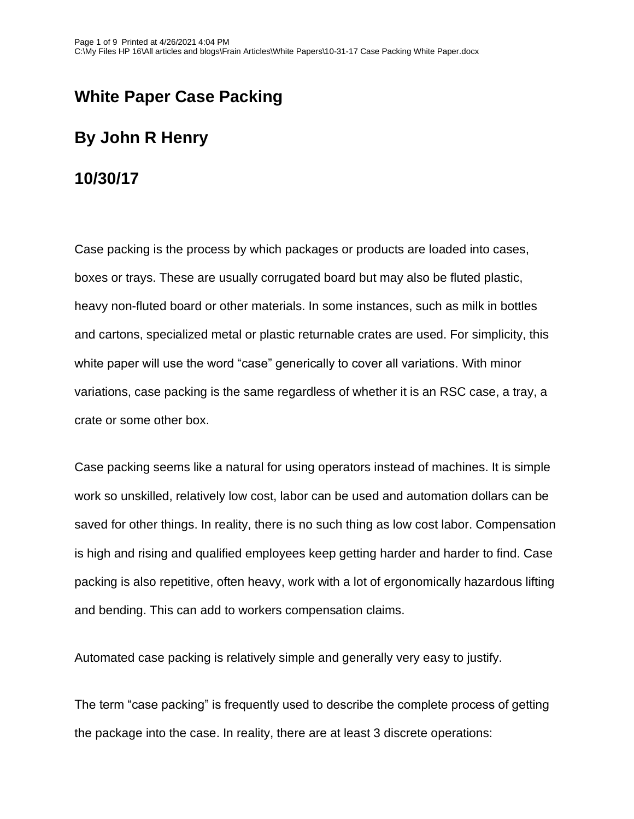## **White Paper Case Packing**

## **By John R Henry**

#### **10/30/17**

Case packing is the process by which packages or products are loaded into cases, boxes or trays. These are usually corrugated board but may also be fluted plastic, heavy non-fluted board or other materials. In some instances, such as milk in bottles and cartons, specialized metal or plastic returnable crates are used. For simplicity, this white paper will use the word "case" generically to cover all variations. With minor variations, case packing is the same regardless of whether it is an RSC case, a tray, a crate or some other box.

Case packing seems like a natural for using operators instead of machines. It is simple work so unskilled, relatively low cost, labor can be used and automation dollars can be saved for other things. In reality, there is no such thing as low cost labor. Compensation is high and rising and qualified employees keep getting harder and harder to find. Case packing is also repetitive, often heavy, work with a lot of ergonomically hazardous lifting and bending. This can add to workers compensation claims.

Automated case packing is relatively simple and generally very easy to justify.

The term "case packing" is frequently used to describe the complete process of getting the package into the case. In reality, there are at least 3 discrete operations: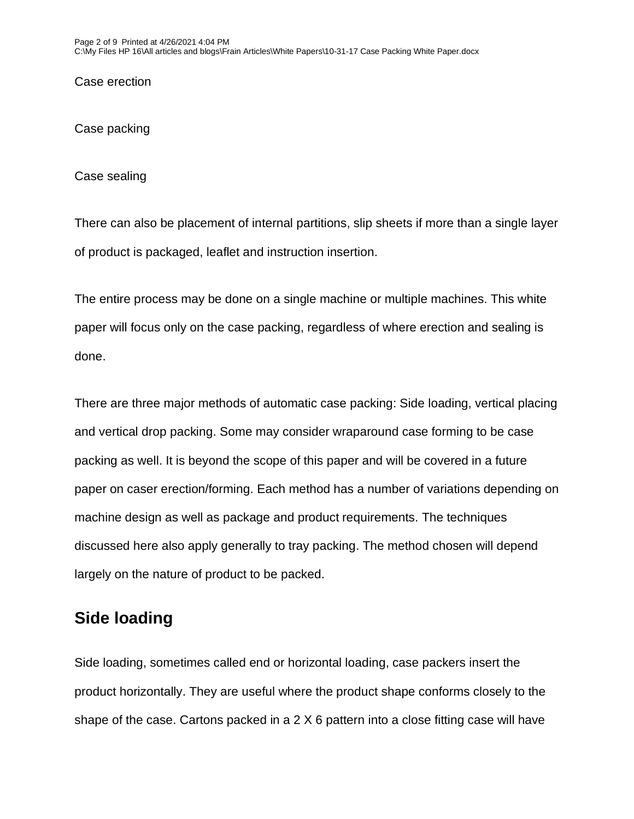Case erection

Case packing

Case sealing

There can also be placement of internal partitions, slip sheets if more than a single layer of product is packaged, leaflet and instruction insertion.

The entire process may be done on a single machine or multiple machines. This white paper will focus only on the case packing, regardless of where erection and sealing is done.

There are three major methods of automatic case packing: Side loading, vertical placing and vertical drop packing. Some may consider wraparound case forming to be case packing as well. It is beyond the scope of this paper and will be covered in a future paper on caser erection/forming. Each method has a number of variations depending on machine design as well as package and product requirements. The techniques discussed here also apply generally to tray packing. The method chosen will depend largely on the nature of product to be packed.

## **Side loading**

Side loading, sometimes called end or horizontal loading, case packers insert the product horizontally. They are useful where the product shape conforms closely to the shape of the case. Cartons packed in a 2 X 6 pattern into a close fitting case will have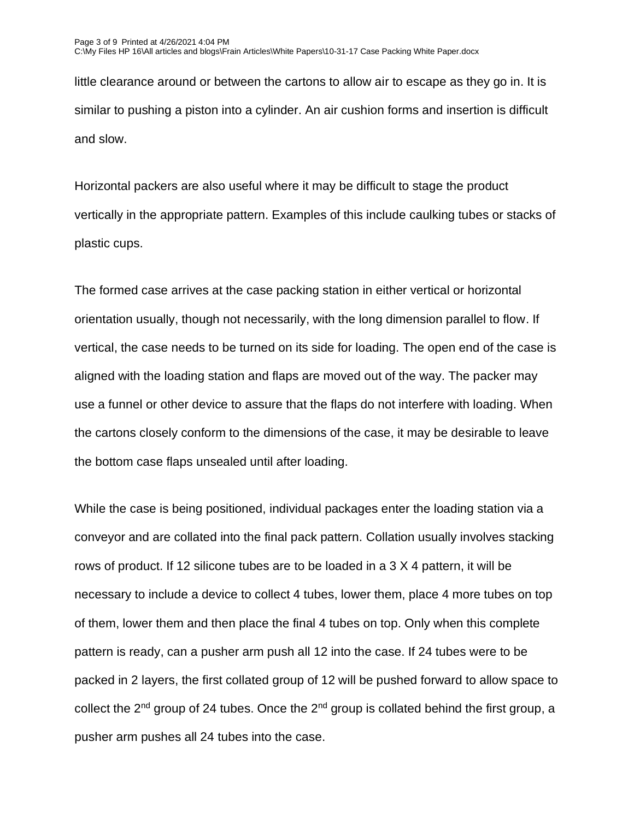little clearance around or between the cartons to allow air to escape as they go in. It is similar to pushing a piston into a cylinder. An air cushion forms and insertion is difficult and slow.

Horizontal packers are also useful where it may be difficult to stage the product vertically in the appropriate pattern. Examples of this include caulking tubes or stacks of plastic cups.

The formed case arrives at the case packing station in either vertical or horizontal orientation usually, though not necessarily, with the long dimension parallel to flow. If vertical, the case needs to be turned on its side for loading. The open end of the case is aligned with the loading station and flaps are moved out of the way. The packer may use a funnel or other device to assure that the flaps do not interfere with loading. When the cartons closely conform to the dimensions of the case, it may be desirable to leave the bottom case flaps unsealed until after loading.

While the case is being positioned, individual packages enter the loading station via a conveyor and are collated into the final pack pattern. Collation usually involves stacking rows of product. If 12 silicone tubes are to be loaded in a 3 X 4 pattern, it will be necessary to include a device to collect 4 tubes, lower them, place 4 more tubes on top of them, lower them and then place the final 4 tubes on top. Only when this complete pattern is ready, can a pusher arm push all 12 into the case. If 24 tubes were to be packed in 2 layers, the first collated group of 12 will be pushed forward to allow space to collect the  $2^{nd}$  group of 24 tubes. Once the  $2^{nd}$  group is collated behind the first group, a pusher arm pushes all 24 tubes into the case.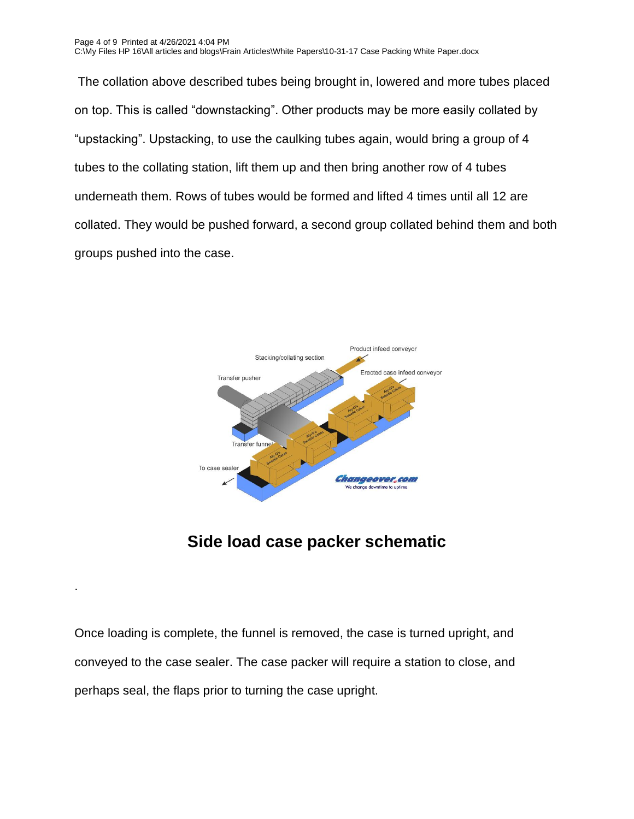Page 4 of 9 Printed at 4/26/2021 4:04 PM C:\My Files HP 16\All articles and blogs\Frain Articles\White Papers\10-31-17 Case Packing White Paper.docx

The collation above described tubes being brought in, lowered and more tubes placed on top. This is called "downstacking". Other products may be more easily collated by "upstacking". Upstacking, to use the caulking tubes again, would bring a group of 4 tubes to the collating station, lift them up and then bring another row of 4 tubes underneath them. Rows of tubes would be formed and lifted 4 times until all 12 are collated. They would be pushed forward, a second group collated behind them and both groups pushed into the case.



## **Side load case packer schematic**

Once loading is complete, the funnel is removed, the case is turned upright, and conveyed to the case sealer. The case packer will require a station to close, and perhaps seal, the flaps prior to turning the case upright.

.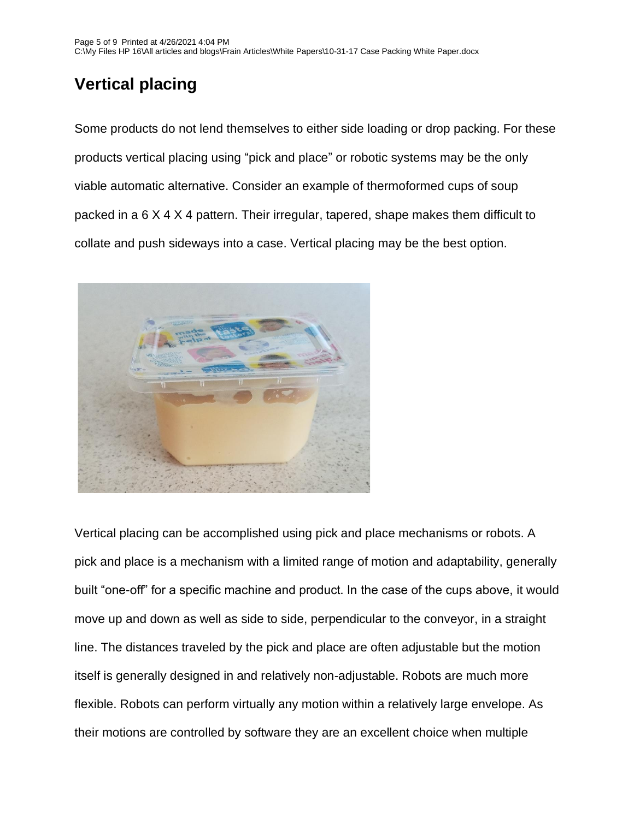# **Vertical placing**

Some products do not lend themselves to either side loading or drop packing. For these products vertical placing using "pick and place" or robotic systems may be the only viable automatic alternative. Consider an example of thermoformed cups of soup packed in a 6 X 4 X 4 pattern. Their irregular, tapered, shape makes them difficult to collate and push sideways into a case. Vertical placing may be the best option.



Vertical placing can be accomplished using pick and place mechanisms or robots. A pick and place is a mechanism with a limited range of motion and adaptability, generally built "one-off" for a specific machine and product. In the case of the cups above, it would move up and down as well as side to side, perpendicular to the conveyor, in a straight line. The distances traveled by the pick and place are often adjustable but the motion itself is generally designed in and relatively non-adjustable. Robots are much more flexible. Robots can perform virtually any motion within a relatively large envelope. As their motions are controlled by software they are an excellent choice when multiple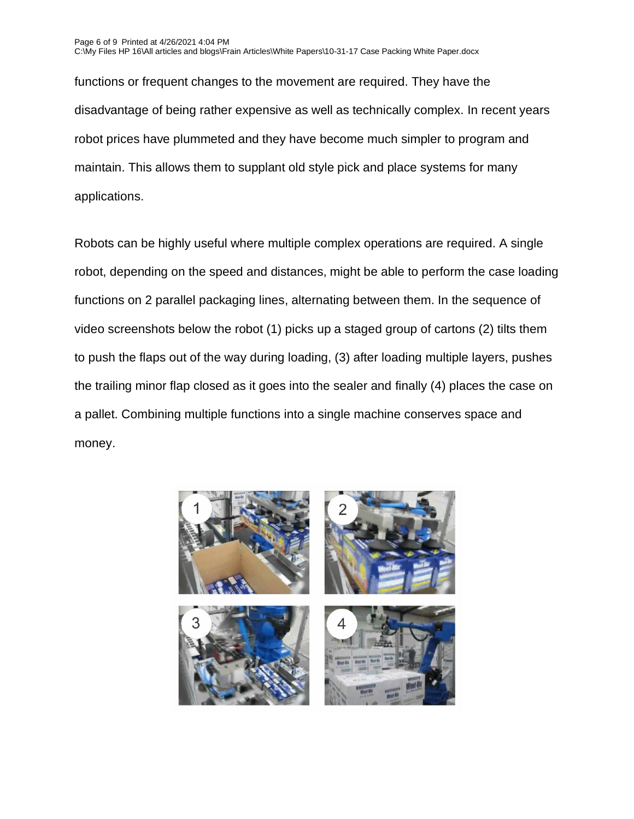functions or frequent changes to the movement are required. They have the disadvantage of being rather expensive as well as technically complex. In recent years robot prices have plummeted and they have become much simpler to program and maintain. This allows them to supplant old style pick and place systems for many applications.

Robots can be highly useful where multiple complex operations are required. A single robot, depending on the speed and distances, might be able to perform the case loading functions on 2 parallel packaging lines, alternating between them. In the sequence of video screenshots below the robot (1) picks up a staged group of cartons (2) tilts them to push the flaps out of the way during loading, (3) after loading multiple layers, pushes the trailing minor flap closed as it goes into the sealer and finally (4) places the case on a pallet. Combining multiple functions into a single machine conserves space and money.

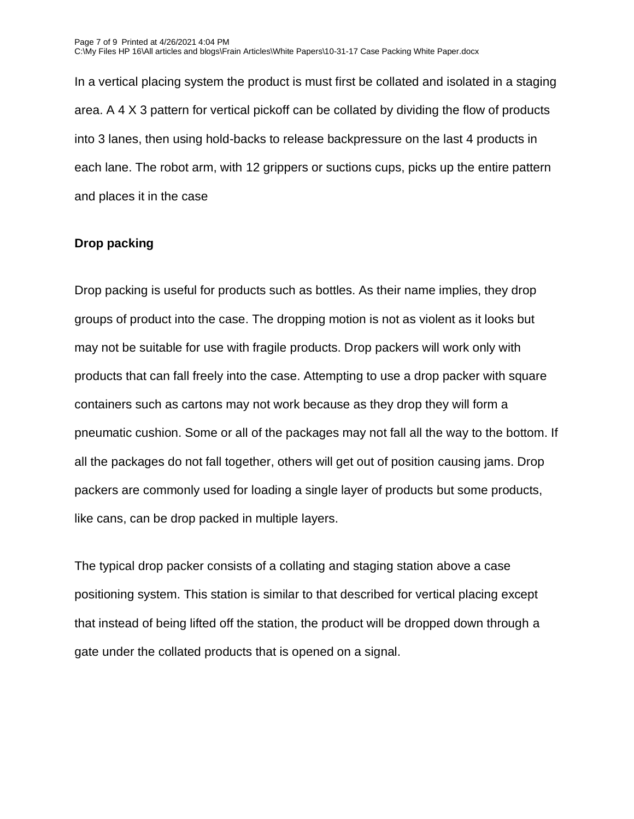In a vertical placing system the product is must first be collated and isolated in a staging area. A 4 X 3 pattern for vertical pickoff can be collated by dividing the flow of products into 3 lanes, then using hold-backs to release backpressure on the last 4 products in each lane. The robot arm, with 12 grippers or suctions cups, picks up the entire pattern and places it in the case

#### **Drop packing**

Drop packing is useful for products such as bottles. As their name implies, they drop groups of product into the case. The dropping motion is not as violent as it looks but may not be suitable for use with fragile products. Drop packers will work only with products that can fall freely into the case. Attempting to use a drop packer with square containers such as cartons may not work because as they drop they will form a pneumatic cushion. Some or all of the packages may not fall all the way to the bottom. If all the packages do not fall together, others will get out of position causing jams. Drop packers are commonly used for loading a single layer of products but some products, like cans, can be drop packed in multiple layers.

The typical drop packer consists of a collating and staging station above a case positioning system. This station is similar to that described for vertical placing except that instead of being lifted off the station, the product will be dropped down through a gate under the collated products that is opened on a signal.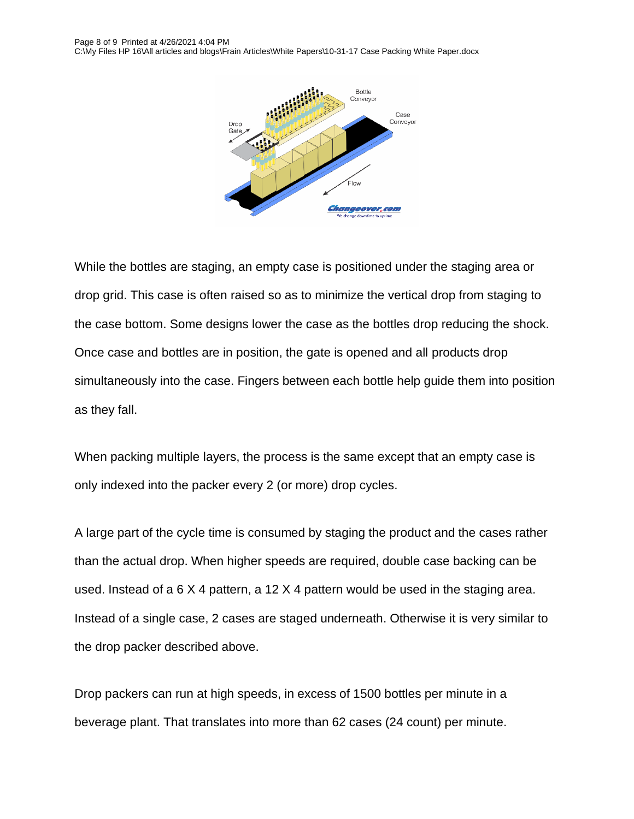

While the bottles are staging, an empty case is positioned under the staging area or drop grid. This case is often raised so as to minimize the vertical drop from staging to the case bottom. Some designs lower the case as the bottles drop reducing the shock. Once case and bottles are in position, the gate is opened and all products drop simultaneously into the case. Fingers between each bottle help guide them into position as they fall.

When packing multiple layers, the process is the same except that an empty case is only indexed into the packer every 2 (or more) drop cycles.

A large part of the cycle time is consumed by staging the product and the cases rather than the actual drop. When higher speeds are required, double case backing can be used. Instead of a 6 X 4 pattern, a 12 X 4 pattern would be used in the staging area. Instead of a single case, 2 cases are staged underneath. Otherwise it is very similar to the drop packer described above.

Drop packers can run at high speeds, in excess of 1500 bottles per minute in a beverage plant. That translates into more than 62 cases (24 count) per minute.